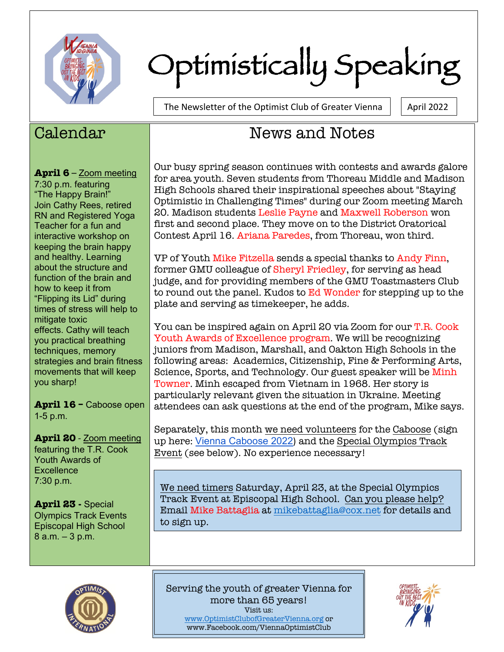

# Optimistically Speaking

The Newsletter of the Optimist Club of Greater Vienna  $\parallel$  | April 2022

### Calendar

**April 6** – Zoom meeting

7:30 p.m. featuring "The Happy Brain!" Join Cathy Rees, retired RN and Registered Yoga Teacher for a fun and interactive workshop on keeping the brain happy and healthy. Learning about the structure and function of the brain and how to keep it from "Flipping its Lid" during times of stress will help to mitigate toxic effects. Cathy will teach you practical breathing techniques, memory strategies and brain fitness movements that will keep you sharp!

**April 16 –** Caboose open 1-5 p.m.

**April 20** - Zoom meeting featuring the T.R. Cook Youth Awards of **Excellence** 7:30 p.m.

**April 23 -** Special Olympics Track Events Episcopal High School 8 a.m. – 3 p.m.

## News and Notes

Our busy spring season continues with contests and awards galore for area youth. Seven students from Thoreau Middle and Madison High Schools shared their inspirational speeches about "Staying Optimistic in Challenging Times" during our Zoom meeting March 20. Madison students Leslie Payne and Maxwell Roberson won first and second place. They move on to the District Oratorical Contest April 16. Ariana Paredes, from Thoreau, won third.

VP of Youth Mike Fitzella sends a special thanks to Andy Finn, former GMU colleague of Sheryl Friedley, for serving as head judge, and for providing members of the GMU Toastmasters Club to round out the panel. Kudos to Ed Wonder for stepping up to the plate and serving as timekeeper, he adds.

You can be inspired again on April 20 via Zoom for our T.R. Cook Youth Awards of Excellence program. We will be recognizing juniors from Madison, Marshall, and Oakton High Schools in the following areas: Academics, Citizenship, Fine & Performing Arts, Science, Sports, and Technology. Our guest speaker will be Minh Towner. Minh escaped from Vietnam in 1968. Her story is particularly relevant given the situation in Ukraine. Meeting attendees can ask questions at the end of the program, Mike says.

Separately, this month we need volunteers for the Caboose (sign up here: Vienna Caboose 2022) and the Special Olympics Track Event (see below). No experience necessary!

We need timers Saturday, April 23, at the Special Olympics Track Event at Episcopal High School. Can you please help? Email Mike Battaglia at mikebattaglia@cox.net for details and to sign up.



Serving the youth of greater Vienna for more than 65 years! Visit us: www.OptimistClubofGreaterVienna.org or www.Facebook.com/ViennaOptimistClub

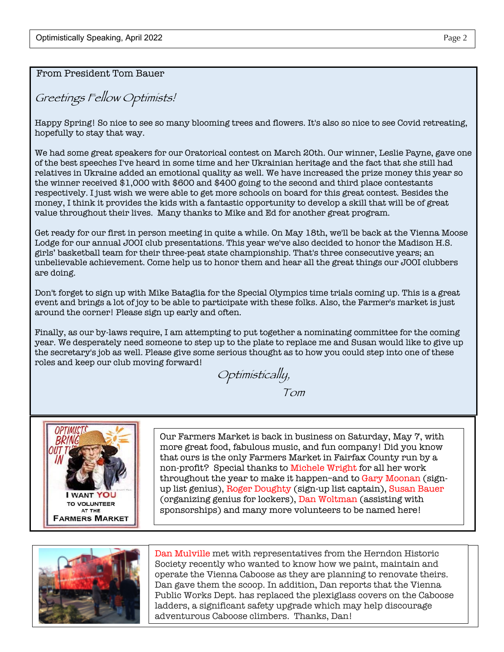From President Tom Bauer

Greetings Fellow Optimists!

Happy Spring! So nice to see so many blooming trees and flowers. It's also so nice to see Covid retreating, hopefully to stay that way.

We had some great speakers for our Oratorical contest on March 20th. Our winner, Leslie Payne, gave one of the best speeches I've heard in some time and her Ukrainian heritage and the fact that she still had relatives in Ukraine added an emotional quality as well. We have increased the prize money this year so the winner received \$1,000 with \$600 and \$400 going to the second and third place contestants respectively. I just wish we were able to get more schools on board for this great contest. Besides the money, I think it provides the kids with a fantastic opportunity to develop a skill that will be of great value throughout their lives. Many thanks to Mike and Ed for another great program.

Get ready for our first in person meeting in quite a while. On May 18th, we'll be back at the Vienna Moose Lodge for our annual JOOI club presentations. This year we've also decided to honor the Madison H.S. girls' basketball team for their three-peat state championship. That's three consecutive years; an unbelievable achievement. Come help us to honor them and hear all the great things our JOOI clubbers are doing.

Don't forget to sign up with Mike Bataglia for the Special Olympics time trials coming up. This is a great event and brings a lot of joy to be able to participate with these folks. Also, the Farmer's market is just around the corner! Please sign up early and often.

Finally, as our by-laws require, I am attempting to put together a nominating committee for the coming year. We desperately need someone to step up to the plate to replace me and Susan would like to give up the secretary's job as well. Please give some serious thought as to how you could step into one of these roles and keep our club moving forward!

Optimistically,

Tom



Our Farmers Market is back in business on Saturday, May 7, with more great food, fabulous music, and fun company! Did you know that ours is the only Farmers Market in Fairfax County run by a non-profit? Special thanks to Michele Wright for all her work throughout the year to make it happen–and to Gary Moonan (signup list genius), Roger Doughty (sign-up list captain), Susan Bauer (organizing genius for lockers), Dan Woltman (assisting with sponsorships) and many more volunteers to be named here!



Dan Mulville met with representatives from the Herndon Historic Society recently who wanted to know how we paint, maintain and operate the Vienna Caboose as they are planning to renovate theirs. Dan gave them the scoop. In addition, Dan reports that the Vienna Public Works Dept. has replaced the plexiglass covers on the Caboose ladders, a significant safety upgrade which may help discourage adventurous Caboose climbers. Thanks, Dan!